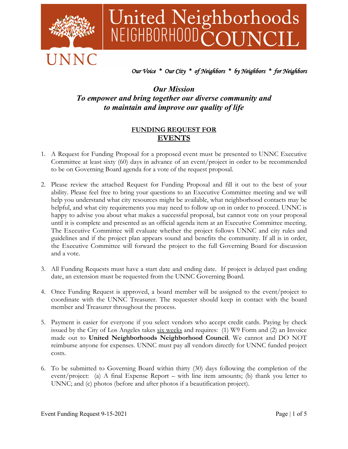

# United Neighborhoods<br>NEIGHBORHOODCOUNCIL

## *Our Voice \* Our City \* of Neighbors \* by Neighbors \* for Neighbors*

## *Our Mission To empower and bring together our diverse community and to maintain and improve our quality of life*

### **FUNDING REQUEST FOR EVENTS**

- 1. A Request for Funding Proposal for a proposed event must be presented to UNNC Executive Committee at least sixty (60) days in advance of an event/project in order to be recommended to be on Governing Board agenda for a vote of the request proposal.
- 2. Please review the attached Request for Funding Proposal and fill it out to the best of your ability. Please feel free to bring your questions to an Executive Committee meeting and we will help you understand what city resources might be available, what neighborhood contacts may be helpful, and what city requirements you may need to follow up on in order to proceed. UNNC is happy to advise you about what makes a successful proposal, but cannot vote on your proposal until it is complete and presented as an official agenda item at an Executive Committee meeting. The Executive Committee will evaluate whether the project follows UNNC and city rules and guidelines and if the project plan appears sound and benefits the community. If all is in order, the Executive Committee will forward the project to the full Governing Board for discussion and a vote.
- 3. All Funding Requests must have a start date and ending date. If project is delayed past ending date, an extension must be requested from the UNNC Governing Board.
- 4. Once Funding Request is approved, a board member will be assigned to the event/project to coordinate with the UNNC Treasurer. The requester should keep in contact with the board member and Treasurer throughout the process.
- 5. Payment is easier for everyone if you select vendors who accept credit cards. Paying by check issued by the City of Los Angeles takes  $six$  weeks and requires: (1) W9 Form and (2) an Invoice made out to **United Neighborhoods Neighborhood Council**. We cannot and DO NOT reimburse anyone for expenses. UNNC must pay all vendors directly for UNNC funded project costs.
- 6. To be submitted to Governing Board within thirty (30) days following the completion of the event/project: (a) A final Expense Report – with line item amounts; (b) thank you letter to UNNC; and (c) photos (before and after photos if a beautification project).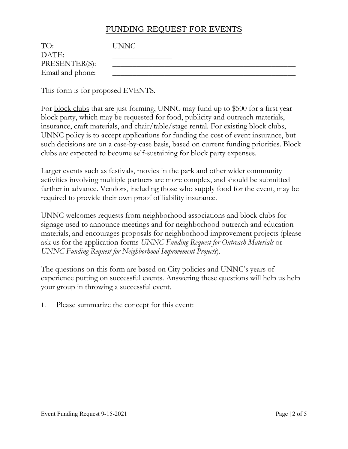# FUNDING REQUEST FOR EVENTS

| TO:              | UNNC |
|------------------|------|
| DATE:            |      |
| PRESENTER(S):    |      |
| Email and phone: |      |

This form is for proposed EVENTS.

For block clubs that are just forming, UNNC may fund up to \$500 for a first year block party, which may be requested for food, publicity and outreach materials, insurance, craft materials, and chair/table/stage rental. For existing block clubs, UNNC policy is to accept applications for funding the cost of event insurance, but such decisions are on a case-by-case basis, based on current funding priorities. Block clubs are expected to become self-sustaining for block party expenses.

Larger events such as festivals, movies in the park and other wider community activities involving multiple partners are more complex, and should be submitted farther in advance. Vendors, including those who supply food for the event, may be required to provide their own proof of liability insurance.

UNNC welcomes requests from neighborhood associations and block clubs for signage used to announce meetings and for neighborhood outreach and education materials, and encourages proposals for neighborhood improvement projects (please ask us for the application forms *UNNC Funding Request for Outreach Materials* or *UNNC Funding Request for Neighborhood Improvement Projects*).

The questions on this form are based on City policies and UNNC's years of experience putting on successful events. Answering these questions will help us help your group in throwing a successful event.

1. Please summarize the concept for this event: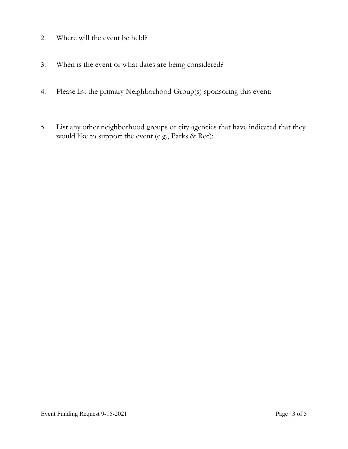- 2. Where will the event be held?
- 3. When is the event or what dates are being considered?
- 4. Please list the primary Neighborhood Group(s) sponsoring this event:
- 5. List any other neighborhood groups or city agencies that have indicated that they would like to support the event (e.g., Parks & Rec):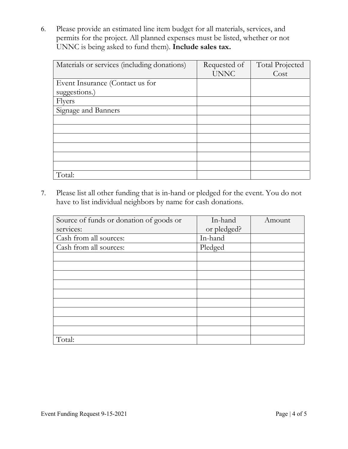6. Please provide an estimated line item budget for all materials, services, and permits for the project. All planned expenses must be listed, whether or not UNNC is being asked to fund them). **Include sales tax.**

| Materials or services (including donations) | Requested of | <b>Total Projected</b> |
|---------------------------------------------|--------------|------------------------|
|                                             | <b>UNNC</b>  | Cost                   |
| Event Insurance (Contact us for             |              |                        |
| suggestions.)                               |              |                        |
| <b>Flyers</b>                               |              |                        |
| Signage and Banners                         |              |                        |
|                                             |              |                        |
|                                             |              |                        |
|                                             |              |                        |
|                                             |              |                        |
|                                             |              |                        |
|                                             |              |                        |
| Total:                                      |              |                        |

7. Please list all other funding that is in-hand or pledged for the event. You do not have to list individual neighbors by name for cash donations.

| Source of funds or donation of goods or | In-hand     | Amount |
|-----------------------------------------|-------------|--------|
| services:                               | or pledged? |        |
| Cash from all sources:                  | In-hand     |        |
| Cash from all sources:                  | Pledged     |        |
|                                         |             |        |
|                                         |             |        |
|                                         |             |        |
|                                         |             |        |
|                                         |             |        |
|                                         |             |        |
|                                         |             |        |
|                                         |             |        |
|                                         |             |        |
| Total:                                  |             |        |